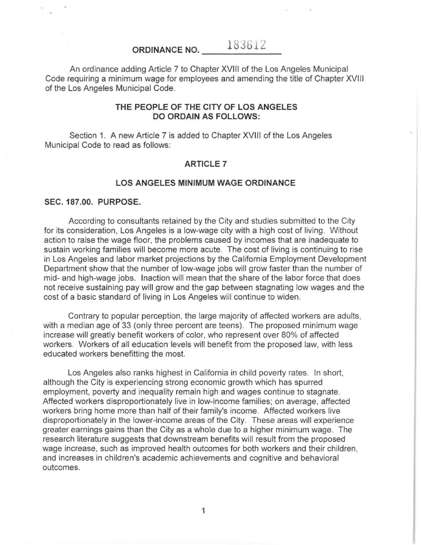#### 183612 ORDINANCE NO.

An ordinance adding Article 7 to Chapter XVIII of the Los Angeles Municipal Code requiring a minimum wage for employees and amending the title of Chapter XVIII of the Los Angeles Municipal Code.

### THE PEOPLE OF THE CITY OF LOS ANGELES DO ORDAIN AS FOLLOWS:

Section 1. A new Article 7 is added to Chapter XVIII of the Los Angeles Municipal Code to read as follows:

### ARTICLE 7

### LOS ANGELES MINIMUM WAGE ORDINANCE

#### SEC. 187.00. PURPOSE.

According to consultants retained by the City and studies submitted to the City for its consideration, Los Angeles is a low-wage city with a high cost of living. Without action to raise the wage floor, the problems caused by incomes that are inadequate to sustain working families will become more acute. The cost of living is continuing to rise in Los Angeles and labor market projections by the California Employment Development Department show that the number of low-wage jobs will grow faster than the number of mid- and high-wage jobs. Inaction will mean that the share of the labor force that does not receive sustaining pay will grow and the gap between stagnating low wages and the cost of a basic standard of living in Los Angeles will continue to widen.

Contrary to popular perception, the large majority of affected workers are adults, with a median age of 33 (only three percent are teens). The proposed minimum wage increase will greatly benefit workers of color, who represent over 80% of affected workers. Workers of all education levels will benefit from the proposed law, with less educated workers benefitting the most.

Los Angeles also ranks highest in California in child poverty rates. In short, although the City is experiencing strong economic growth which has spurred employment, poverty and inequality remain high and wages continue to stagnate. Affected workers disproportionately live in low-income families; on average, affected workers bring home more than half of their family's income. Affected workers live disproportionately in the lower-income areas of the City. These areas will experience greater earnings gains than the City as a whole due to a higher minimum wage. The research literature suggests that downstream benefits will result from the proposed wage increase, such as improved health outcomes for both workers and their children, and increases in children's academic achievements and cognitive and behavioral outcomes.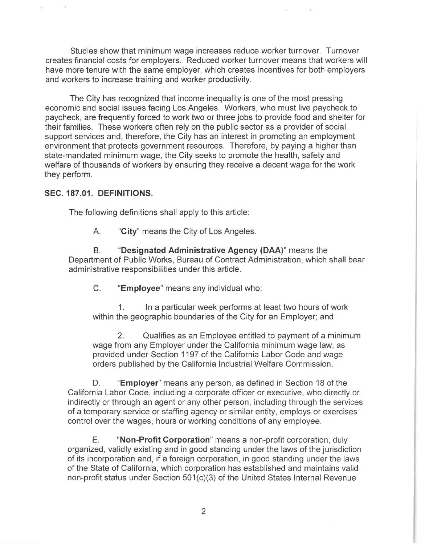Studies show that minimum wage increases reduce worker turnover. Turnover creates financial costs for employers. Reduced worker turnover means that workers will have more tenure with the same employer, which creates incentives for both employers and workers to increase training and worker productivity.

The City has recognized that income inequality is one of the most pressing economic and social issues facing Los Angeles. Workers, who must live paycheck to paycheck, are frequently forced to work two or three jobs to provide food and shelter for their families. These workers often rely on the public sector as a provider of social support services and, therefore, the City has an interest in promoting an employment environment that protects government resources. Therefore, by paying a higher than state-mandated minimum wage, the City seeks to promote the health, safety and welfare of thousands of workers by ensuring they receive a decent wage for the work they perform.

## SEC. 187.01. DEFINITIONS.

The following definitions shall apply to this article:

A. "City" means the City of Los Angeles.

B. "Designated Administrative Agency (DAA)" means the Department of Public Works, Bureau of Contract Administration, which shall bear administrative responsibilities under this article.

C. "Employee" means any individual who:

1. In a particular week performs at least two hours of work within the geographic boundaries of the City for an Employer; and

2. Qualifies as an Employee entitled to payment of a minimum wage from any Employer under the California minimum wage law, as provided under Section 1197 of the California Labor Code and wage orders published by the California Industrial Welfare Commission.

D. "Employer" means any person, as defined in Section 18 of the California Labor Code, including a corporate officer or executive, who directly or indirectly or through an agent or any other person, including through the services of a temporary service or staffing agency or similar entity, employs or exercises control over the wages, hours or working conditions of any employee.

E. "Non-Profit Corporation" means a non-profit corporation, duly organized, validly existing and in good standing under the laws of the jurisdiction of its incorporation and, if a foreign corporation, in good standing under the laws of the State of California, which corporation has established and maintains valid non-profit status under Section 501(c)(3) of the United States Internal Revenue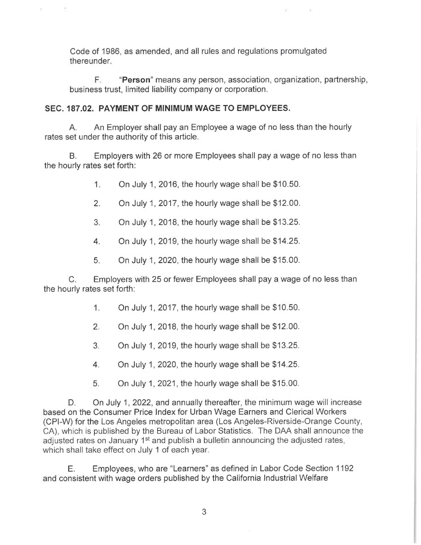Code of 1986, as amended, and all rules and regulations promulgated thereunder.

F. "Person" means any person, association, organization, partnership, business trust, limited liability company or corporation.

# SEC. 187.02. PAYMENT OF MINIMUM WAGE TO EMPLOYEES.

 $\tau$ 

A. An Employer shall pay an Employee a wage of no less than the hourly rates set under the authority of this article.

B. Employers with 26 or more Employees shall pay a wage of no less than the hourly rates set forth:

1. On July 1, 2016, the hourly wage shall be \$10.50.

- 2. On July 1, 2017, the hourly wage shall be \$12.00.
- 3. On July 1, 2018, the hourly wage shall be \$13.25.
- 4. On July 1, 2019, the hourly wage shall be \$14.25.
- 5. On July 1, 2020, the hourly wage shall be \$15.00.

C. Employers with 25 or fewer Employees shall pay a wage of no less than the hourly rates set forth:

- 1. On July 1, 2017, the hourly wage shall be \$10.50.
- 2. On July 1, 2018, the hourly wage shall be \$12.00.
- 3. On July 1, 2019, the hourly wage shall be \$13.25.
- 4. On July 1, 2020, the hourly wage shall be \$14.25.
- 5. On July 1, 2021, the hourly wage shall be \$15.00.

D. On July 1, 2022, and annually thereafter, the minimum wage will increase based on the Consumer Price Index for Urban Wage Earners and Clerical Workers (CPI-W) for the Los Angeles metropolitan area (Los Angeles-Riverside-Orange County, CA), which is published by the Bureau of Labor Statistics. The DAA shall announce the adjusted rates on January 1<sup>st</sup> and publish a bulletin announcing the adjusted rates, which shall take effect on July 1 of each year.

E. Employees, who are "Learners" as defined in Labor Code Section 1192 and consistent with wage orders published by the California Industrial Welfare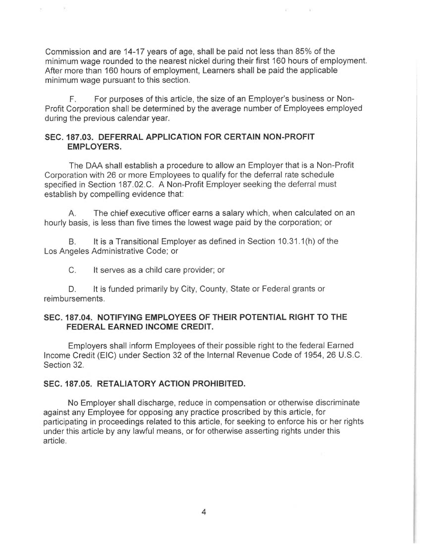Commission and are 14-17 years of age, shall be paid not less than 85% of the minimum wage rounded to the nearest nickel during their first 160 hours of employment. After more than 160 hours of employment, Learners shall be paid the applicable minimum wage pursuant to this section.

F. For purposes of this article, the size of an Employer's business or Non-Profit Corporation shall be determined by the average number of Employees employed during the previous calendar year.

## SEC. 187.03. DEFERRAL APPLICATION FOR CERTAIN NON-PROFIT EMPLOYERS.

The DAA shall establish a procedure to allow an Employer that is a Non-Profit Corporation with 26 or more Employees to qualify for the deferral rate schedule specified in Section 187.02.C. A Non-Profit Employer seeking the deferral must establish by compelling evidence that:

A. The chief executive officer earns a salary which, when calculated on an hourly basis, is less than five times the lowest wage paid by the corporation; or

B. It is a Transitional Employer as defined in Section 10.31.1(h) of the Los Angeles Administrative Code; or

C. It serves as a child care provider; or

 $\rightarrow$ 

D. It is funded primarily by City, County, State or Federal grants or reimbursements.

## SEC. 187.04. NOTIFYING EMPLOYEES OF THEIR POTENTIAL RIGHT TO THE FEDERAL EARNED INCOME CREDIT.

Employers shall inform Employees of their possible right to the federal Earned Income Credit (EIC) under Section 32 of the Internal Revenue Code of 1954, 26 U.S.C. Section 32.

## SEC. 187.05. RETALIATORY ACTION PROHIBITED.

No Employer shall discharge, reduce in compensation or otherwise discriminate against any Employee for opposing any practice proscribed by this article, for participating in proceedings related to this article, for seeking to enforce his or her rights under this article by any lawful means, or for otherwise asserting rights under this article.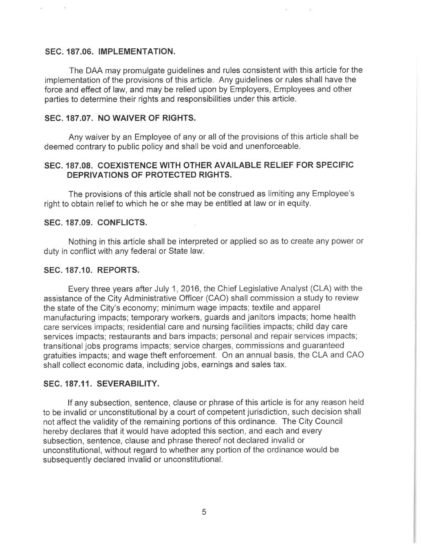#### SEC. 187.06. IMPLEMENTATION.

및

The DAA may promulgate guidelines and rules consistent with this article for the implementation of the provisions of this article. Any guidelines or rules shall have the force and effect of law, and may be relied upon by Employers, Employees and other parties to determine their rights and responsibilities under this article.

## SEC. 187.07. NO WAIVER OF RIGHTS.

Any waiver by an Employee of any or all of the provisions of this article shall be deemed contrary to public policy and shall be void and unenforceable.

## SEC. 187.08. COEXISTENCE WITH OTHER AVAILABLE RELIEF FOR SPECIFIC DEPRIVATIONS OF PROTECTED RIGHTS.

The provisions of this article shall not be construed as limiting any Employee's right to obtain relief to which he or she may be entitled at law or in equity.

Ŷ.

#### SEC. 187.09. CONFLICTS.

Nothing in this article shall be interpreted or applied so as to create any power or duty in conflict with any federal or State law.

### SEC. 187.10. REPORTS.

Every three years after July 1, 2016, the Chief Legislative Analyst (CLA) with the assistance of the City Administrative Officer (CAO) shall commission a study to review the state of the City's economy; minimum wage impacts; textile and apparel manufacturing impacts; temporary workers, guards and janitors impacts; home health care services impacts; residential care and nursing facilities impacts; child day care services impacts; restaurants and bars impacts; personal and repair services impacts; transitional jobs programs impacts; service charges, commissions and guaranteed gratuities impacts; and wage theft enforcement. On an annual basis, the CLA and CAO shall collect economic data, including jobs, earnings and sales tax.

#### SEC. 187.11. SEVERABILITY.

If any subsection, sentence, clause or phrase of this article is for any reason held to be invalid or unconstitutional by a court of competent jurisdiction, such decision shall not affect the validity of the remaining portions of this ordinance. The City Council hereby declares that it would have adopted this section, and each and every subsection, sentence, clause and phrase thereof not declared invalid or unconstitutional, without regard to whether any portion of the ordinance would be subsequently declared invalid or unconstitutional.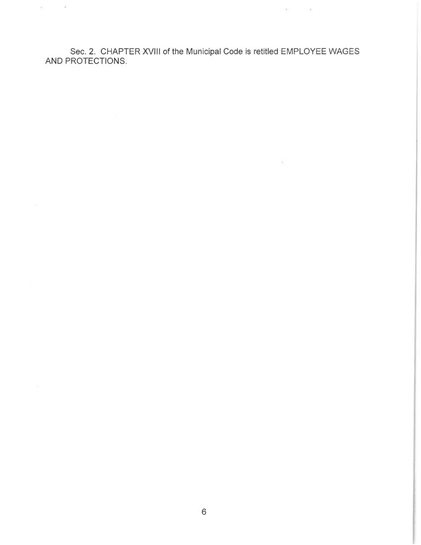Sec. 2. CHAPTER XVIII of the Municipal Code is retitled EMPLOYEE WAGES AND PROTECTIONS.

 $\mathcal{M}$  , and  $\mathcal{M}$ 

 $\sim$ 

 $\omega = -\omega$